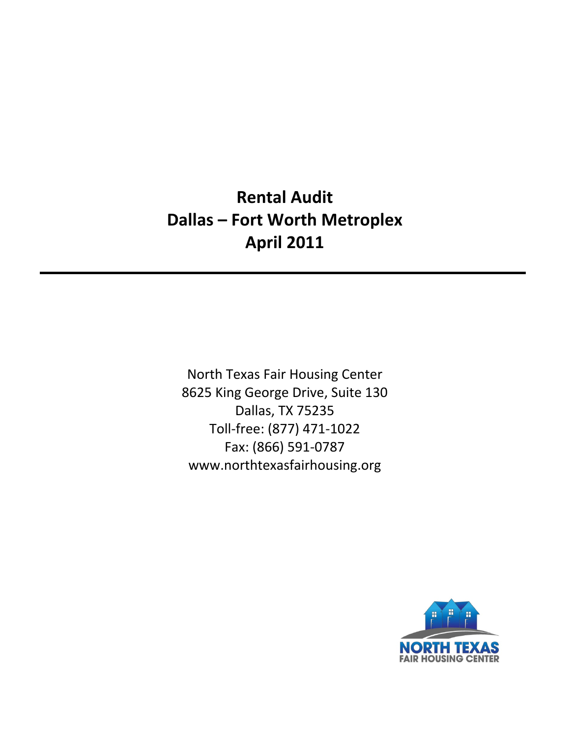# **Rental Audit Dallas – Fort Worth Metroplex April 2011**

North Texas Fair Housing Center 8625 King George Drive, Suite 130 Dallas, TX 75235 Toll‐free: (877) 471‐1022 Fax: (866) 591‐0787 www.northtexasfairhousing.org

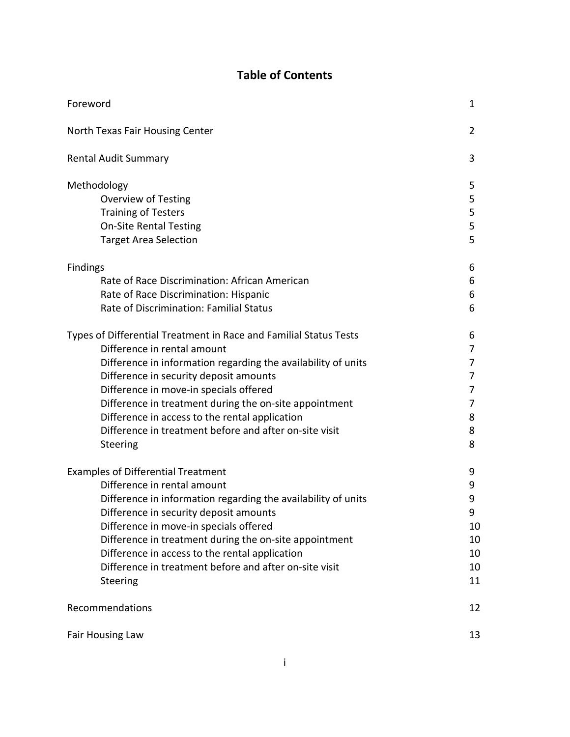# **Table of Contents**

| Foreword                                                                                                                                                                                                                                                                                                                                                                                                                                | 1                                              |
|-----------------------------------------------------------------------------------------------------------------------------------------------------------------------------------------------------------------------------------------------------------------------------------------------------------------------------------------------------------------------------------------------------------------------------------------|------------------------------------------------|
| North Texas Fair Housing Center                                                                                                                                                                                                                                                                                                                                                                                                         | 2                                              |
| <b>Rental Audit Summary</b>                                                                                                                                                                                                                                                                                                                                                                                                             | 3                                              |
| Methodology<br><b>Overview of Testing</b><br><b>Training of Testers</b><br><b>On-Site Rental Testing</b><br><b>Target Area Selection</b>                                                                                                                                                                                                                                                                                                | 5<br>5<br>5<br>5<br>5                          |
| <b>Findings</b><br>Rate of Race Discrimination: African American<br>Rate of Race Discrimination: Hispanic<br>Rate of Discrimination: Familial Status                                                                                                                                                                                                                                                                                    | 6<br>6<br>6<br>6                               |
| Types of Differential Treatment in Race and Familial Status Tests<br>Difference in rental amount<br>Difference in information regarding the availability of units<br>Difference in security deposit amounts<br>Difference in move-in specials offered<br>Difference in treatment during the on-site appointment<br>Difference in access to the rental application<br>Difference in treatment before and after on-site visit<br>Steering | 6<br>7<br>7<br>7<br>7<br>7<br>8<br>8<br>8      |
| <b>Examples of Differential Treatment</b><br>Difference in rental amount<br>Difference in information regarding the availability of units<br>Difference in security deposit amounts<br>Difference in move-in specials offered<br>Difference in treatment during the on-site appointment<br>Difference in access to the rental application<br>Difference in treatment before and after on-site visit<br>Steering                         | 9<br>9<br>9<br>9<br>10<br>10<br>10<br>10<br>11 |
| Recommendations                                                                                                                                                                                                                                                                                                                                                                                                                         | 12                                             |
| <b>Fair Housing Law</b>                                                                                                                                                                                                                                                                                                                                                                                                                 | 13                                             |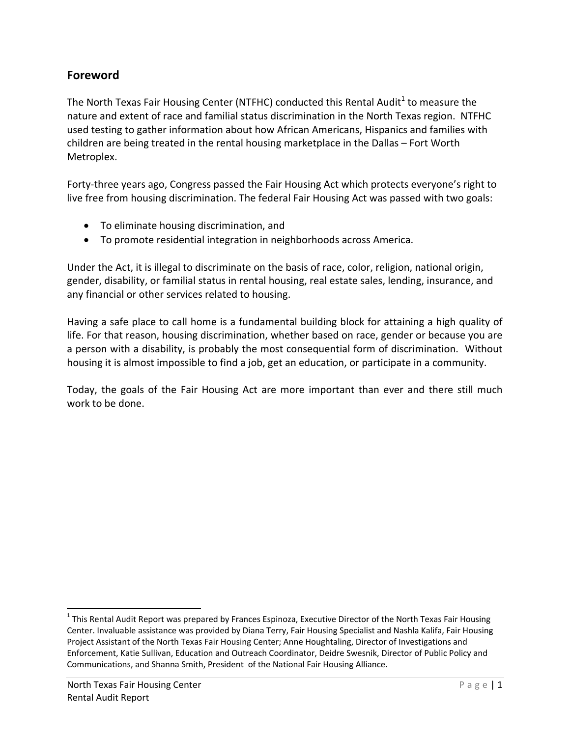# **Foreword**

The North Texas Fair Housing Center (NTFHC) conducted this Rental Audit<sup>1</sup> to measure the nature and extent of race and familial status discrimination in the North Texas region. NTFHC used testing to gather information about how African Americans, Hispanics and families with children are being treated in the rental housing marketplace in the Dallas – Fort Worth Metroplex.

Forty-three years ago, Congress passed the Fair Housing Act which protects everyone's right to live free from housing discrimination. The federal Fair Housing Act was passed with two goals:

- To eliminate housing discrimination, and
- To promote residential integration in neighborhoods across America.

Under the Act, it is illegal to discriminate on the basis of race, color, religion, national origin, gender, disability, or familial status in rental housing, real estate sales, lending, insurance, and any financial or other services related to housing.

Having a safe place to call home is a fundamental building block for attaining a high quality of life. For that reason, housing discrimination, whether based on race, gender or because you are a person with a disability, is probably the most consequential form of discrimination. Without housing it is almost impossible to find a job, get an education, or participate in a community.

Today, the goals of the Fair Housing Act are more important than ever and there still much work to be done.

 $1$ This Rental Audit Report was prepared by Frances Espinoza, Executive Director of the North Texas Fair Housing Center. Invaluable assistance was provided by Diana Terry, Fair Housing Specialist and Nashla Kalifa, Fair Housing Project Assistant of the North Texas Fair Housing Center; Anne Houghtaling, Director of Investigations and Enforcement, Katie Sullivan, Education and Outreach Coordinator, Deidre Swesnik, Director of Public Policy and Communications, and Shanna Smith, President of the National Fair Housing Alliance.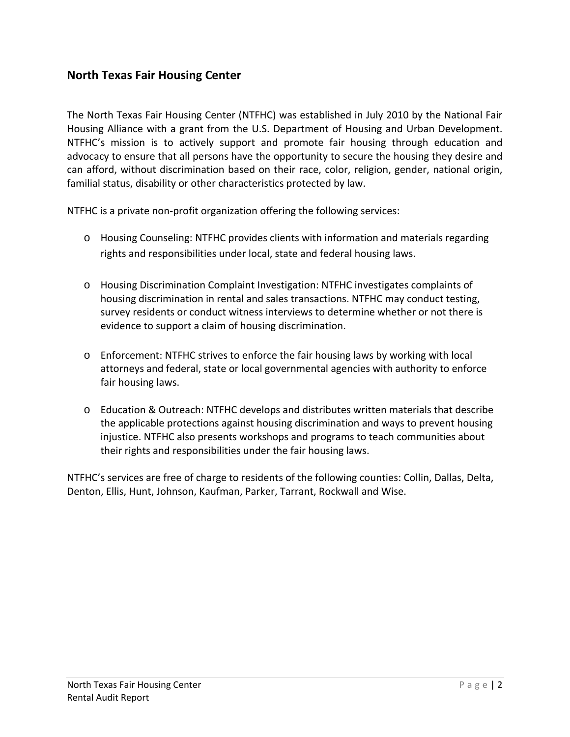# **North Texas Fair Housing Center**

The North Texas Fair Housing Center (NTFHC) was established in July 2010 by the National Fair Housing Alliance with a grant from the U.S. Department of Housing and Urban Development. NTFHC's mission is to actively support and promote fair housing through education and advocacy to ensure that all persons have the opportunity to secure the housing they desire and can afford, without discrimination based on their race, color, religion, gender, national origin, familial status, disability or other characteristics protected by law.

NTFHC is a private non‐profit organization offering the following services:

- o Housing Counseling: NTFHC provides clients with information and materials regarding rights and responsibilities under local, state and federal housing laws.
- o Housing Discrimination Complaint Investigation: NTFHC investigates complaints of housing discrimination in rental and sales transactions. NTFHC may conduct testing, survey residents or conduct witness interviews to determine whether or not there is evidence to support a claim of housing discrimination.
- o Enforcement: NTFHC strives to enforce the fair housing laws by working with local attorneys and federal, state or local governmental agencies with authority to enforce fair housing laws.
- o Education & Outreach: NTFHC develops and distributes written materials that describe the applicable protections against housing discrimination and ways to prevent housing injustice. NTFHC also presents workshops and programs to teach communities about their rights and responsibilities under the fair housing laws.

NTFHC's services are free of charge to residents of the following counties: Collin, Dallas, Delta, Denton, Ellis, Hunt, Johnson, Kaufman, Parker, Tarrant, Rockwall and Wise.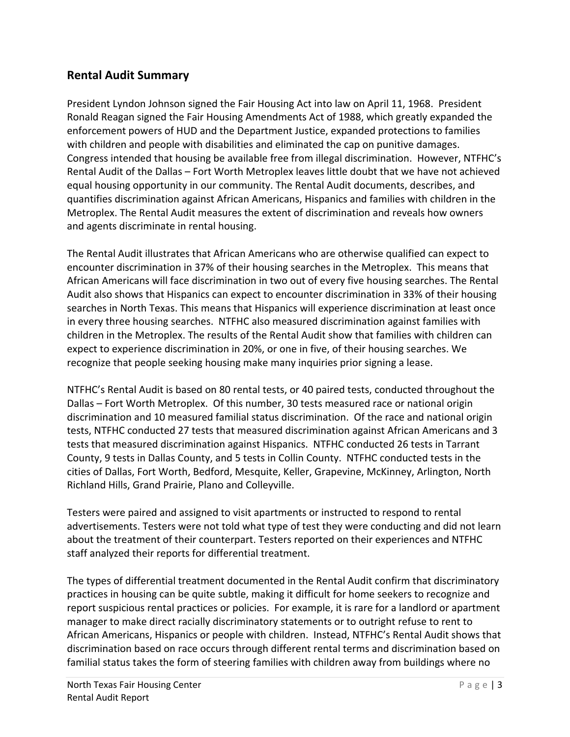# **Rental Audit Summary**

President Lyndon Johnson signed the Fair Housing Act into law on April 11, 1968. President Ronald Reagan signed the Fair Housing Amendments Act of 1988, which greatly expanded the enforcement powers of HUD and the Department Justice, expanded protections to families with children and people with disabilities and eliminated the cap on punitive damages. Congress intended that housing be available free from illegal discrimination. However, NTFHC's Rental Audit of the Dallas – Fort Worth Metroplex leaves little doubt that we have not achieved equal housing opportunity in our community. The Rental Audit documents, describes, and quantifies discrimination against African Americans, Hispanics and families with children in the Metroplex. The Rental Audit measures the extent of discrimination and reveals how owners and agents discriminate in rental housing.

The Rental Audit illustrates that African Americans who are otherwise qualified can expect to encounter discrimination in 37% of their housing searches in the Metroplex. This means that African Americans will face discrimination in two out of every five housing searches. The Rental Audit also shows that Hispanics can expect to encounter discrimination in 33% of their housing searches in North Texas. This means that Hispanics will experience discrimination at least once in every three housing searches. NTFHC also measured discrimination against families with children in the Metroplex. The results of the Rental Audit show that families with children can expect to experience discrimination in 20%, or one in five, of their housing searches. We recognize that people seeking housing make many inquiries prior signing a lease.

NTFHC's Rental Audit is based on 80 rental tests, or 40 paired tests, conducted throughout the Dallas – Fort Worth Metroplex. Of this number, 30 tests measured race or national origin discrimination and 10 measured familial status discrimination. Of the race and national origin tests, NTFHC conducted 27 tests that measured discrimination against African Americans and 3 tests that measured discrimination against Hispanics. NTFHC conducted 26 tests in Tarrant County, 9 tests in Dallas County, and 5 tests in Collin County. NTFHC conducted tests in the cities of Dallas, Fort Worth, Bedford, Mesquite, Keller, Grapevine, McKinney, Arlington, North Richland Hills, Grand Prairie, Plano and Colleyville.

Testers were paired and assigned to visit apartments or instructed to respond to rental advertisements. Testers were not told what type of test they were conducting and did not learn about the treatment of their counterpart. Testers reported on their experiences and NTFHC staff analyzed their reports for differential treatment.

The types of differential treatment documented in the Rental Audit confirm that discriminatory practices in housing can be quite subtle, making it difficult for home seekers to recognize and report suspicious rental practices or policies. For example, it is rare for a landlord or apartment manager to make direct racially discriminatory statements or to outright refuse to rent to African Americans, Hispanics or people with children. Instead, NTFHC's Rental Audit shows that discrimination based on race occurs through different rental terms and discrimination based on familial status takes the form of steering families with children away from buildings where no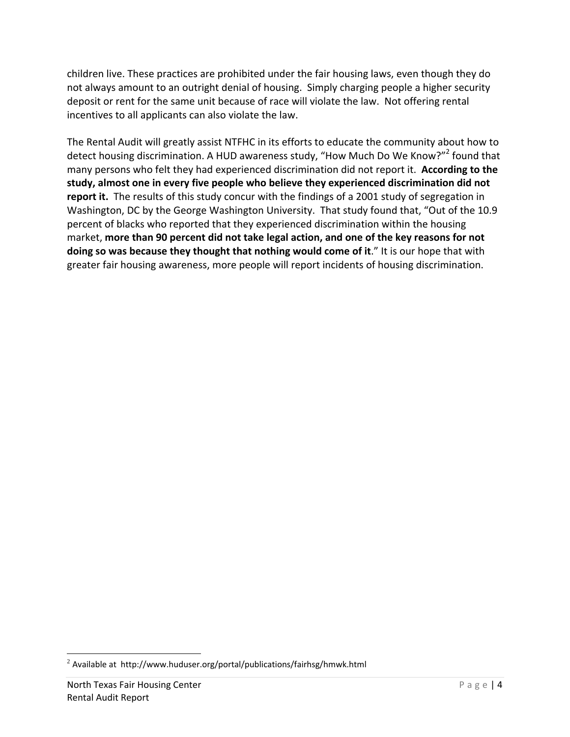children live. These practices are prohibited under the fair housing laws, even though they do not always amount to an outright denial of housing. Simply charging people a higher security deposit or rent for the same unit because of race will violate the law. Not offering rental incentives to all applicants can also violate the law.

The Rental Audit will greatly assist NTFHC in its efforts to educate the community about how to detect housing discrimination. A HUD awareness study, "How Much Do We Know?"<sup>2</sup> found that many persons who felt they had experienced discrimination did not report it. **According to the study, almost one in every five people who believe they experienced discrimination did not report it.** The results of this study concur with the findings of a 2001 study of segregation in Washington, DC by the George Washington University. That study found that, "Out of the 10.9 percent of blacks who reported that they experienced discrimination within the housing market, **more than 90 percent did not take legal action, and one of the key reasons for not doing so was because they thought that nothing would come of it**." It is our hope that with greater fair housing awareness, more people will report incidents of housing discrimination.

 $^{2}$  Available at http://www.huduser.org/portal/publications/fairhsg/hmwk.html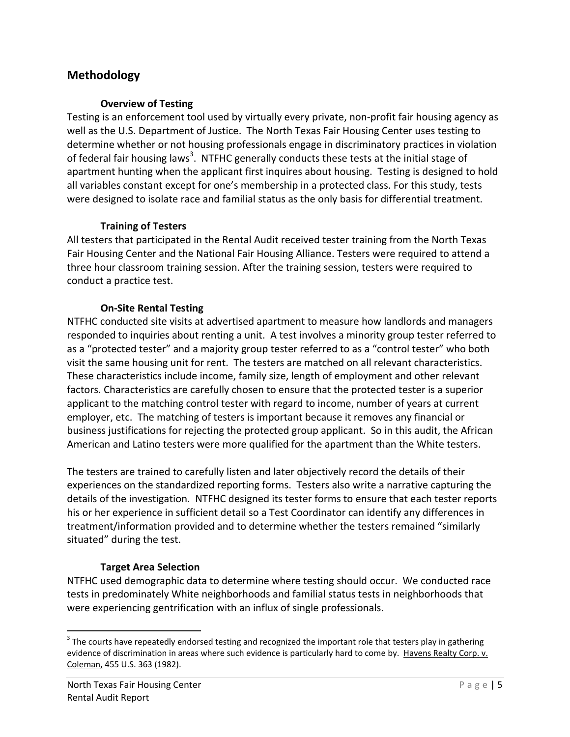# **Methodology**

#### **Overview of Testing**

Testing is an enforcement tool used by virtually every private, non‐profit fair housing agency as well as the U.S. Department of Justice. The North Texas Fair Housing Center uses testing to determine whether or not housing professionals engage in discriminatory practices in violation of federal fair housing laws<sup>3</sup>. NTFHC generally conducts these tests at the initial stage of apartment hunting when the applicant first inquires about housing. Testing is designed to hold all variables constant except for one's membership in a protected class. For this study, tests were designed to isolate race and familial status as the only basis for differential treatment.

### **Training of Testers**

All testers that participated in the Rental Audit received tester training from the North Texas Fair Housing Center and the National Fair Housing Alliance. Testers were required to attend a three hour classroom training session. After the training session, testers were required to conduct a practice test.

### **On‐Site Rental Testing**

NTFHC conducted site visits at advertised apartment to measure how landlords and managers responded to inquiries about renting a unit. A test involves a minority group tester referred to as a "protected tester" and a majority group tester referred to as a "control tester" who both visit the same housing unit for rent. The testers are matched on all relevant characteristics. These characteristics include income, family size, length of employment and other relevant factors. Characteristics are carefully chosen to ensure that the protected tester is a superior applicant to the matching control tester with regard to income, number of years at current employer, etc. The matching of testers is important because it removes any financial or business justifications for rejecting the protected group applicant. So in this audit, the African American and Latino testers were more qualified for the apartment than the White testers.

The testers are trained to carefully listen and later objectively record the details of their experiences on the standardized reporting forms. Testers also write a narrative capturing the details of the investigation. NTFHC designed its tester forms to ensure that each tester reports his or her experience in sufficient detail so a Test Coordinator can identify any differences in treatment/information provided and to determine whether the testers remained "similarly situated" during the test.

## **Target Area Selection**

NTFHC used demographic data to determine where testing should occur. We conducted race tests in predominately White neighborhoods and familial status tests in neighborhoods that were experiencing gentrification with an influx of single professionals.

 $3$  The courts have repeatedly endorsed testing and recognized the important role that testers play in gathering evidence of discrimination in areas where such evidence is particularly hard to come by. Havens Realty Corp. v. Coleman, 455 U.S. 363 (1982).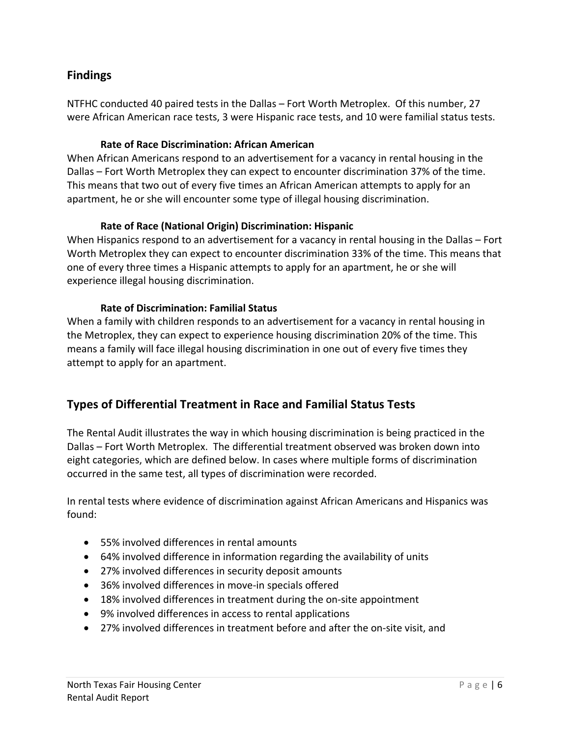# **Findings**

NTFHC conducted 40 paired tests in the Dallas – Fort Worth Metroplex. Of this number, 27 were African American race tests, 3 were Hispanic race tests, and 10 were familial status tests.

### **Rate of Race Discrimination: African American**

When African Americans respond to an advertisement for a vacancy in rental housing in the Dallas – Fort Worth Metroplex they can expect to encounter discrimination 37% of the time. This means that two out of every five times an African American attempts to apply for an apartment, he or she will encounter some type of illegal housing discrimination.

### **Rate of Race (National Origin) Discrimination: Hispanic**

When Hispanics respond to an advertisement for a vacancy in rental housing in the Dallas – Fort Worth Metroplex they can expect to encounter discrimination 33% of the time. This means that one of every three times a Hispanic attempts to apply for an apartment, he or she will experience illegal housing discrimination.

### **Rate of Discrimination: Familial Status**

When a family with children responds to an advertisement for a vacancy in rental housing in the Metroplex, they can expect to experience housing discrimination 20% of the time. This means a family will face illegal housing discrimination in one out of every five times they attempt to apply for an apartment.

# **Types of Differential Treatment in Race and Familial Status Tests**

The Rental Audit illustrates the way in which housing discrimination is being practiced in the Dallas – Fort Worth Metroplex. The differential treatment observed was broken down into eight categories, which are defined below. In cases where multiple forms of discrimination occurred in the same test, all types of discrimination were recorded.

In rental tests where evidence of discrimination against African Americans and Hispanics was found:

- 55% involved differences in rental amounts
- 64% involved difference in information regarding the availability of units
- 27% involved differences in security deposit amounts
- 36% involved differences in move-in specials offered
- 18% involved differences in treatment during the on-site appointment
- 9% involved differences in access to rental applications
- 27% involved differences in treatment before and after the on-site visit, and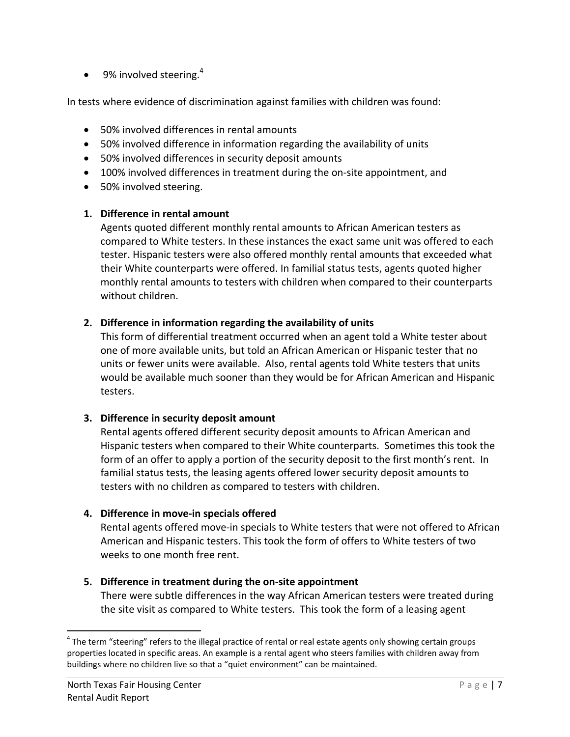$\bullet$  9% involved steering.<sup>4</sup>

In tests where evidence of discrimination against families with children was found:

- 50% involved differences in rental amounts
- 50% involved difference in information regarding the availability of units
- 50% involved differences in security deposit amounts
- 100% involved differences in treatment during the on-site appointment, and
- 50% involved steering.

#### **1. Difference in rental amount**

Agents quoted different monthly rental amounts to African American testers as compared to White testers. In these instances the exact same unit was offered to each tester. Hispanic testers were also offered monthly rental amounts that exceeded what their White counterparts were offered. In familial status tests, agents quoted higher monthly rental amounts to testers with children when compared to their counterparts without children.

#### **2. Difference in information regarding the availability of units**

This form of differential treatment occurred when an agent told a White tester about one of more available units, but told an African American or Hispanic tester that no units or fewer units were available. Also, rental agents told White testers that units would be available much sooner than they would be for African American and Hispanic testers.

#### **3. Difference in security deposit amount**

Rental agents offered different security deposit amounts to African American and Hispanic testers when compared to their White counterparts. Sometimes this took the form of an offer to apply a portion of the security deposit to the first month's rent. In familial status tests, the leasing agents offered lower security deposit amounts to testers with no children as compared to testers with children.

## **4. Difference in move‐in specials offered**

Rental agents offered move‐in specials to White testers that were not offered to African American and Hispanic testers. This took the form of offers to White testers of two weeks to one month free rent.

## **5. Difference in treatment during the on‐site appointment**

There were subtle differences in the way African American testers were treated during the site visit as compared to White testers. This took the form of a leasing agent

 $4$  The term "steering" refers to the illegal practice of rental or real estate agents only showing certain groups properties located in specific areas. An example is a rental agent who steers families with children away from buildings where no children live so that a "quiet environment" can be maintained.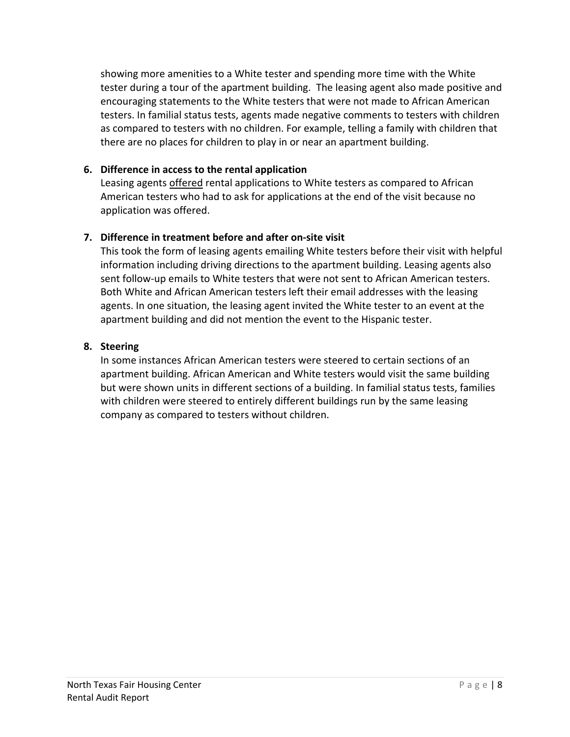showing more amenities to a White tester and spending more time with the White tester during a tour of the apartment building. The leasing agent also made positive and encouraging statements to the White testers that were not made to African American testers. In familial status tests, agents made negative comments to testers with children as compared to testers with no children. For example, telling a family with children that there are no places for children to play in or near an apartment building.

### **6. Difference in access to the rental application**

Leasing agents offered rental applications to White testers as compared to African American testers who had to ask for applications at the end of the visit because no application was offered.

### **7. Difference in treatment before and after on‐site visit**

This took the form of leasing agents emailing White testers before their visit with helpful information including driving directions to the apartment building. Leasing agents also sent follow‐up emails to White testers that were not sent to African American testers. Both White and African American testers left their email addresses with the leasing agents. In one situation, the leasing agent invited the White tester to an event at the apartment building and did not mention the event to the Hispanic tester.

#### **8. Steering**

In some instances African American testers were steered to certain sections of an apartment building. African American and White testers would visit the same building but were shown units in different sections of a building. In familial status tests, families with children were steered to entirely different buildings run by the same leasing company as compared to testers without children.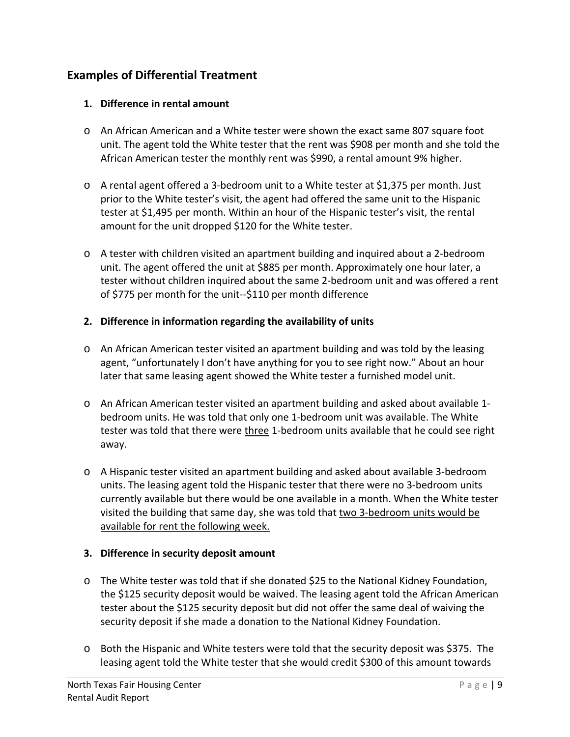# **Examples of Differential Treatment**

#### **1. Difference in rental amount**

- o An African American and a White tester were shown the exact same 807 square foot unit. The agent told the White tester that the rent was \$908 per month and she told the African American tester the monthly rent was \$990, a rental amount 9% higher.
- o A rental agent offered a 3‐bedroom unit to a White tester at \$1,375 per month. Just prior to the White tester's visit, the agent had offered the same unit to the Hispanic tester at \$1,495 per month. Within an hour of the Hispanic tester's visit, the rental amount for the unit dropped \$120 for the White tester.
- o A tester with children visited an apartment building and inquired about a 2‐bedroom unit. The agent offered the unit at \$885 per month. Approximately one hour later, a tester without children inquired about the same 2‐bedroom unit and was offered a rent of \$775 per month for the unit‐‐\$110 per month difference

#### **2. Difference in information regarding the availability of units**

- o An African American tester visited an apartment building and was told by the leasing agent, "unfortunately I don't have anything for you to see right now." About an hour later that same leasing agent showed the White tester a furnished model unit.
- o An African American tester visited an apartment building and asked about available 1‐ bedroom units. He was told that only one 1‐bedroom unit was available. The White tester was told that there were three 1‐bedroom units available that he could see right away.
- o A Hispanic tester visited an apartment building and asked about available 3‐bedroom units. The leasing agent told the Hispanic tester that there were no 3‐bedroom units currently available but there would be one available in a month. When the White tester visited the building that same day, she was told that two 3‐bedroom units would be available for rent the following week.

#### **3. Difference in security deposit amount**

- o The White tester was told that if she donated \$25 to the National Kidney Foundation, the \$125 security deposit would be waived. The leasing agent told the African American tester about the \$125 security deposit but did not offer the same deal of waiving the security deposit if she made a donation to the National Kidney Foundation.
- o Both the Hispanic and White testers were told that the security deposit was \$375. The leasing agent told the White tester that she would credit \$300 of this amount towards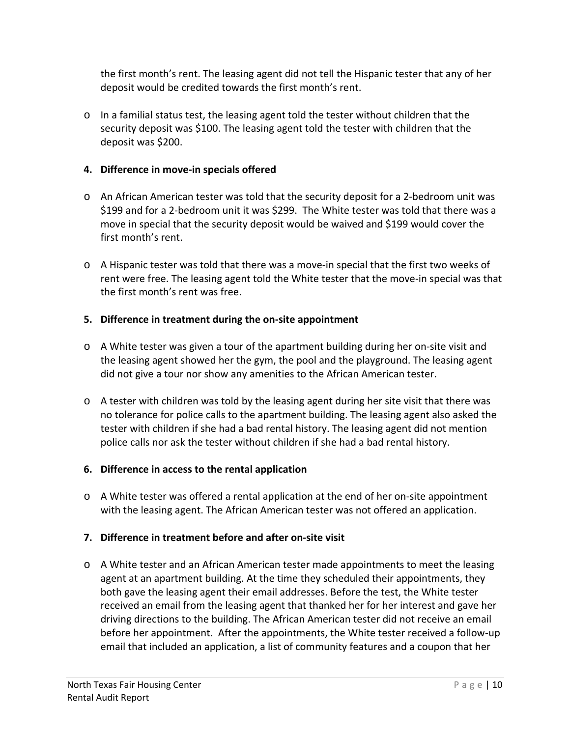the first month's rent. The leasing agent did not tell the Hispanic tester that any of her deposit would be credited towards the first month's rent.

 $\circ$  In a familial status test, the leasing agent told the tester without children that the security deposit was \$100. The leasing agent told the tester with children that the deposit was \$200.

## **4. Difference in move‐in specials offered**

- o An African American tester was told that the security deposit for a 2‐bedroom unit was \$199 and for a 2-bedroom unit it was \$299. The White tester was told that there was a move in special that the security deposit would be waived and \$199 would cover the first month's rent.
- o A Hispanic tester was told that there was a move‐in special that the first two weeks of rent were free. The leasing agent told the White tester that the move-in special was that the first month's rent was free.

## **5. Difference in treatment during the on‐site appointment**

- o A White tester was given a tour of the apartment building during her on‐site visit and the leasing agent showed her the gym, the pool and the playground. The leasing agent did not give a tour nor show any amenities to the African American tester.
- o A tester with children was told by the leasing agent during her site visit that there was no tolerance for police calls to the apartment building. The leasing agent also asked the tester with children if she had a bad rental history. The leasing agent did not mention police calls nor ask the tester without children if she had a bad rental history.

## **6. Difference in access to the rental application**

o A White tester was offered a rental application at the end of her on‐site appointment with the leasing agent. The African American tester was not offered an application.

## **7. Difference in treatment before and after on‐site visit**

o A White tester and an African American tester made appointments to meet the leasing agent at an apartment building. At the time they scheduled their appointments, they both gave the leasing agent their email addresses. Before the test, the White tester received an email from the leasing agent that thanked her for her interest and gave her driving directions to the building. The African American tester did not receive an email before her appointment. After the appointments, the White tester received a follow‐up email that included an application, a list of community features and a coupon that her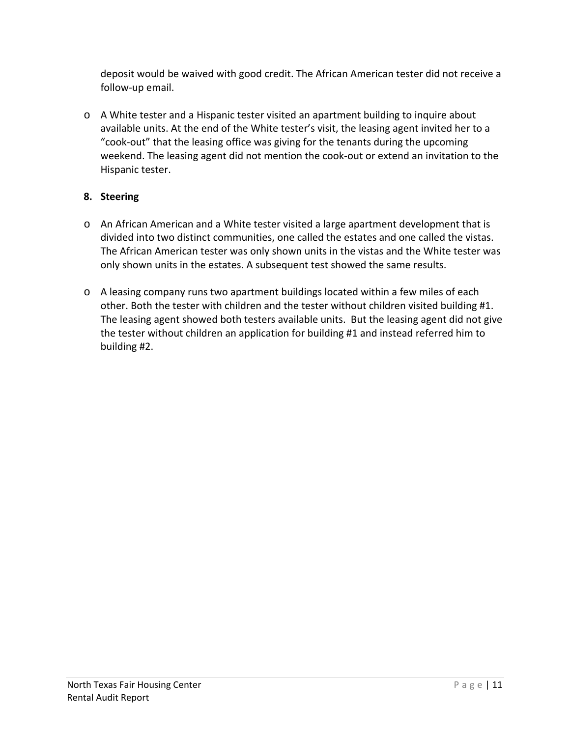deposit would be waived with good credit. The African American tester did not receive a follow‐up email.

o A White tester and a Hispanic tester visited an apartment building to inquire about available units. At the end of the White tester's visit, the leasing agent invited her to a "cook‐out" that the leasing office was giving for the tenants during the upcoming weekend. The leasing agent did not mention the cook-out or extend an invitation to the Hispanic tester.

## **8. Steering**

- o An African American and a White tester visited a large apartment development that is divided into two distinct communities, one called the estates and one called the vistas. The African American tester was only shown units in the vistas and the White tester was only shown units in the estates. A subsequent test showed the same results.
- $\circ$  A leasing company runs two apartment buildings located within a few miles of each other. Both the tester with children and the tester without children visited building #1. The leasing agent showed both testers available units. But the leasing agent did not give the tester without children an application for building #1 and instead referred him to building #2.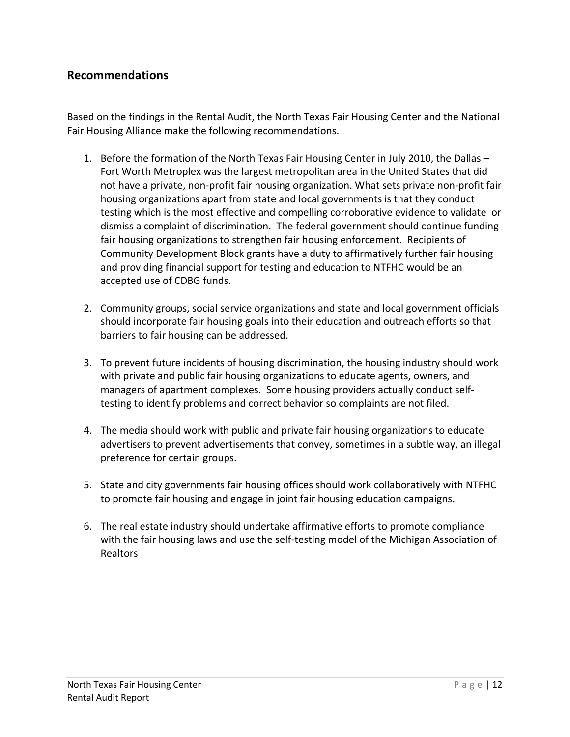## **Recommendations**

Based on the findings in the Rental Audit, the North Texas Fair Housing Center and the National Fair Housing Alliance make the following recommendations.

- 1. Before the formation of the North Texas Fair Housing Center in July 2010, the Dallas Fort Worth Metroplex was the largest metropolitan area in the United States that did not have a private, non‐profit fair housing organization. What sets private non‐profit fair housing organizations apart from state and local governments is that they conduct testing which is the most effective and compelling corroborative evidence to validate or dismiss a complaint of discrimination. The federal government should continue funding fair housing organizations to strengthen fair housing enforcement. Recipients of Community Development Block grants have a duty to affirmatively further fair housing and providing financial support for testing and education to NTFHC would be an accepted use of CDBG funds.
- 2. Community groups, social service organizations and state and local government officials should incorporate fair housing goals into their education and outreach efforts so that barriers to fair housing can be addressed.
- 3. To prevent future incidents of housing discrimination, the housing industry should work with private and public fair housing organizations to educate agents, owners, and managers of apartment complexes. Some housing providers actually conduct self‐ testing to identify problems and correct behavior so complaints are not filed.
- 4. The media should work with public and private fair housing organizations to educate advertisers to prevent advertisements that convey, sometimes in a subtle way, an illegal preference for certain groups.
- 5. State and city governments fair housing offices should work collaboratively with NTFHC to promote fair housing and engage in joint fair housing education campaigns.
- 6. The real estate industry should undertake affirmative efforts to promote compliance with the fair housing laws and use the self-testing model of the Michigan Association of Realtors